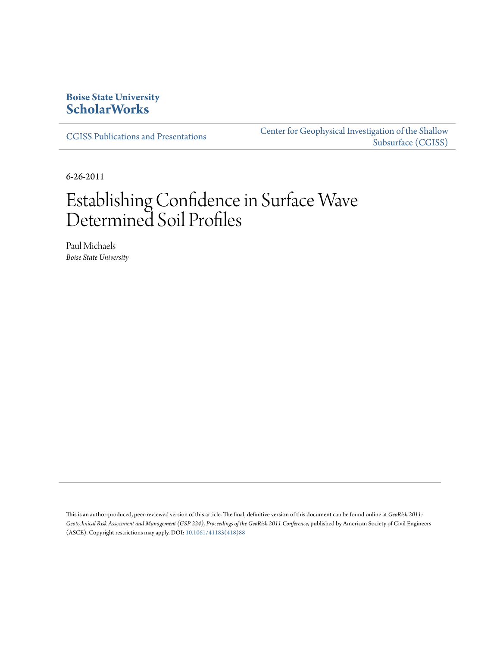# **Boise State University [ScholarWorks](https://scholarworks.boisestate.edu)**

[CGISS Publications and Presentations](https://scholarworks.boisestate.edu/cgiss_facpubs)

[Center for Geophysical Investigation of the Shallow](https://scholarworks.boisestate.edu/cgiss) [Subsurface \(CGISS\)](https://scholarworks.boisestate.edu/cgiss)

6-26-2011

# Establishing Confidence in Surface Wave Determined Soil Profiles

Paul Michaels *Boise State University*

This is an author-produced, peer-reviewed version of this article. The final, definitive version of this document can be found online at *GeoRisk 2011:* Geotechnical Risk Assessment and Management (GSP 224), Proceedings of the GeoRisk 2011 Conference, published by American Society of Civil Engineers (ASCE). Copyright restrictions may apply. DOI: [10.1061/41183\(418\)88](http://dx.doi.org/10.1061/41183(418)88)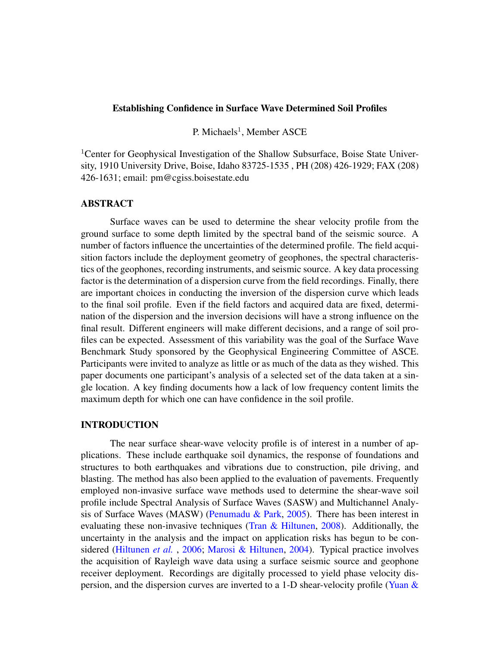#### Establishing Confidence in Surface Wave Determined Soil Profiles

P. Michaels<sup>1</sup>, Member ASCE

<sup>1</sup>Center for Geophysical Investigation of the Shallow Subsurface, Boise State University, 1910 University Drive, Boise, Idaho 83725-1535 , PH (208) 426-1929; FAX (208) 426-1631; email: pm@cgiss.boisestate.edu

# ABSTRACT

Surface waves can be used to determine the shear velocity profile from the ground surface to some depth limited by the spectral band of the seismic source. A number of factors influence the uncertainties of the determined profile. The field acquisition factors include the deployment geometry of geophones, the spectral characteristics of the geophones, recording instruments, and seismic source. A key data processing factor is the determination of a dispersion curve from the field recordings. Finally, there are important choices in conducting the inversion of the dispersion curve which leads to the final soil profile. Even if the field factors and acquired data are fixed, determination of the dispersion and the inversion decisions will have a strong influence on the final result. Different engineers will make different decisions, and a range of soil profiles can be expected. Assessment of this variability was the goal of the Surface Wave Benchmark Study sponsored by the Geophysical Engineering Committee of ASCE. Participants were invited to analyze as little or as much of the data as they wished. This paper documents one participant's analysis of a selected set of the data taken at a single location. A key finding documents how a lack of low frequency content limits the maximum depth for which one can have confidence in the soil profile.

#### INTRODUCTION

The near surface shear-wave velocity profile is of interest in a number of applications. These include earthquake soil dynamics, the response of foundations and structures to both earthquakes and vibrations due to construction, pile driving, and blasting. The method has also been applied to the evaluation of pavements. Frequently employed non-invasive surface wave methods used to determine the shear-wave soil profile include Spectral Analysis of Surface Waves (SASW) and Multichannel Analysis of Surface Waves (MASW) [\(Penumadu & Park,](#page-8-0) [2005\)](#page-8-0). There has been interest in evaluating these non-invasive techniques [\(Tran & Hiltunen,](#page-8-1) [2008\)](#page-8-1). Additionally, the uncertainty in the analysis and the impact on application risks has begun to be considered [\(Hiltunen](#page-8-2) *et al.* , [2006;](#page-8-2) [Marosi & Hiltunen,](#page-8-3) [2004\)](#page-8-3). Typical practice involves the acquisition of Rayleigh wave data using a surface seismic source and geophone receiver deployment. Recordings are digitally processed to yield phase velocity dispersion, and the dispersion curves are inverted to a 1-D shear-velocity profile [\(Yuan &](#page-8-4)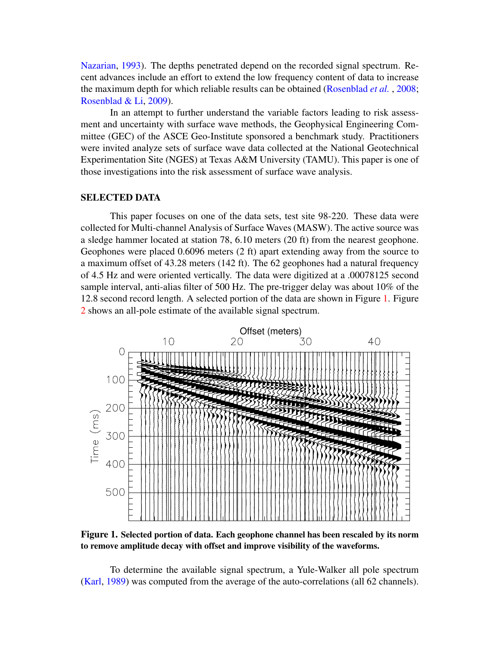[Nazarian,](#page-8-4) [1993\)](#page-8-4). The depths penetrated depend on the recorded signal spectrum. Recent advances include an effort to extend the low frequency content of data to increase the maximum depth for which reliable results can be obtained [\(Rosenblad](#page-8-5) *et al.* , [2008;](#page-8-5) [Rosenblad & Li,](#page-8-6) [2009\)](#page-8-6).

In an attempt to further understand the variable factors leading to risk assessment and uncertainty with surface wave methods, the Geophysical Engineering Committee (GEC) of the ASCE Geo-Institute sponsored a benchmark study. Practitioners were invited analyze sets of surface wave data collected at the National Geotechnical Experimentation Site (NGES) at Texas A&M University (TAMU). This paper is one of those investigations into the risk assessment of surface wave analysis.

# SELECTED DATA

This paper focuses on one of the data sets, test site 98-220. These data were collected for Multi-channel Analysis of Surface Waves (MASW). The active source was a sledge hammer located at station 78, 6.10 meters (20 ft) from the nearest geophone. Geophones were placed 0.6096 meters (2 ft) apart extending away from the source to a maximum offset of 43.28 meters (142 ft). The 62 geophones had a natural frequency of 4.5 Hz and were oriented vertically. The data were digitized at a .00078125 second sample interval, anti-alias filter of 500 Hz. The pre-trigger delay was about 10% of the 12.8 second record length. A selected portion of the data are shown in Figure [1.](#page-2-0) Figure [2](#page-3-0) shows an all-pole estimate of the available signal spectrum.

<span id="page-2-0"></span>

Figure 1. Selected portion of data. Each geophone channel has been rescaled by its norm to remove amplitude decay with offset and improve visibility of the waveforms.

To determine the available signal spectrum, a Yule-Walker all pole spectrum [\(Karl,](#page-8-7) [1989\)](#page-8-7) was computed from the average of the auto-correlations (all 62 channels).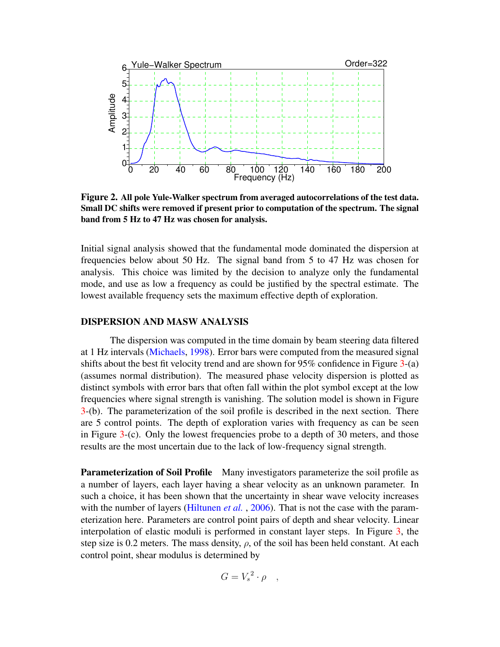<span id="page-3-0"></span>

Figure 2. All pole Yule-Walker spectrum from averaged autocorrelations of the test data. Small DC shifts were removed if present prior to computation of the spectrum. The signal band from 5 Hz to 47 Hz was chosen for analysis.

Initial signal analysis showed that the fundamental mode dominated the dispersion at frequencies below about 50 Hz. The signal band from 5 to 47 Hz was chosen for analysis. This choice was limited by the decision to analyze only the fundamental mode, and use as low a frequency as could be justified by the spectral estimate. The lowest available frequency sets the maximum effective depth of exploration.

# DISPERSION AND MASW ANALYSIS

The dispersion was computed in the time domain by beam steering data filtered at 1 Hz intervals [\(Michaels,](#page-8-8) [1998\)](#page-8-8). Error bars were computed from the measured signal shifts about the best fit velocity trend and are shown for  $95\%$  confidence in Figure [3-](#page-5-0)(a) (assumes normal distribution). The measured phase velocity dispersion is plotted as distinct symbols with error bars that often fall within the plot symbol except at the low frequencies where signal strength is vanishing. The solution model is shown in Figure [3-](#page-5-0)(b). The parameterization of the soil profile is described in the next section. There are 5 control points. The depth of exploration varies with frequency as can be seen in Figure [3-](#page-5-0)(c). Only the lowest frequencies probe to a depth of 30 meters, and those results are the most uncertain due to the lack of low-frequency signal strength.

Parameterization of Soil Profile Many investigators parameterize the soil profile as a number of layers, each layer having a shear velocity as an unknown parameter. In such a choice, it has been shown that the uncertainty in shear wave velocity increases with the number of layers [\(Hiltunen](#page-8-2) *et al.*, [2006\)](#page-8-2). That is not the case with the parameterization here. Parameters are control point pairs of depth and shear velocity. Linear interpolation of elastic moduli is performed in constant layer steps. In Figure [3,](#page-5-0) the step size is 0.2 meters. The mass density,  $\rho$ , of the soil has been held constant. At each control point, shear modulus is determined by

$$
G = V_s^2 \cdot \rho \quad ,
$$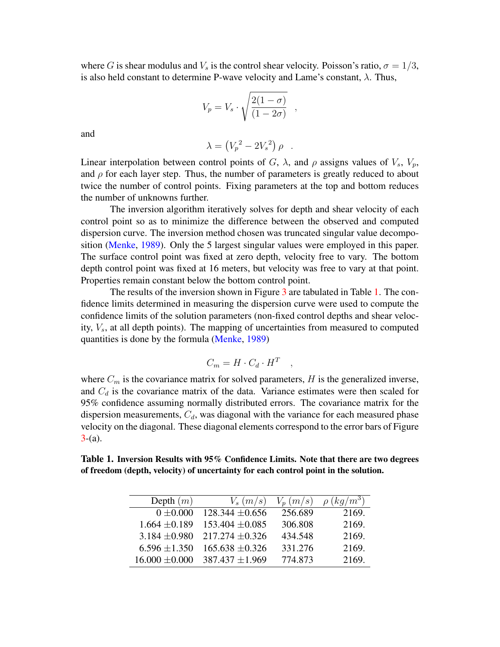where G is shear modulus and  $V_s$  is the control shear velocity. Poisson's ratio,  $\sigma = 1/3$ , is also held constant to determine P-wave velocity and Lame's constant,  $\lambda$ . Thus,

$$
V_p = V_s \cdot \sqrt{\frac{2(1-\sigma)}{(1-2\sigma)}} \quad ,
$$

and

$$
\lambda = \left(V_p^2 - 2V_s^2\right)\rho .
$$

Linear interpolation between control points of G,  $\lambda$ , and  $\rho$  assigns values of  $V_s$ ,  $V_p$ , and  $\rho$  for each layer step. Thus, the number of parameters is greatly reduced to about twice the number of control points. Fixing parameters at the top and bottom reduces the number of unknowns further.

The inversion algorithm iteratively solves for depth and shear velocity of each control point so as to minimize the difference between the observed and computed dispersion curve. The inversion method chosen was truncated singular value decomposition [\(Menke,](#page-8-9) [1989\)](#page-8-9). Only the 5 largest singular values were employed in this paper. The surface control point was fixed at zero depth, velocity free to vary. The bottom depth control point was fixed at 16 meters, but velocity was free to vary at that point. Properties remain constant below the bottom control point.

The results of the inversion shown in Figure [3](#page-5-0) are tabulated in Table [1.](#page-4-0) The confidence limits determined in measuring the dispersion curve were used to compute the confidence limits of the solution parameters (non-fixed control depths and shear velocity,  $V_s$ , at all depth points). The mapping of uncertainties from measured to computed quantities is done by the formula [\(Menke,](#page-8-9) [1989\)](#page-8-9)

$$
C_m = H \cdot C_d \cdot H^T \quad ,
$$

where  $C_m$  is the covariance matrix for solved parameters,  $H$  is the generalized inverse, and  $C_d$  is the covariance matrix of the data. Variance estimates were then scaled for 95% confidence assuming normally distributed errors. The covariance matrix for the dispersion measurements,  $C_d$ , was diagonal with the variance for each measured phase velocity on the diagonal. These diagonal elements correspond to the error bars of Figure  $3-(a)$  $3-(a)$ .

<span id="page-4-0"></span>Table 1. Inversion Results with 95% Confidence Limits. Note that there are two degrees of freedom (depth, velocity) of uncertainty for each control point in the solution.

| Depth $(m)$        | $V_s(m/s)$          | $V_p(m/s)$ | $\rho (kg/m^3)$ |
|--------------------|---------------------|------------|-----------------|
| $0 \pm 0.000$      | $128.344 \pm 0.656$ | 256.689    | 2169.           |
| $1.664 \pm 0.189$  | $153.404 \pm 0.085$ | 306.808    | 2169.           |
| $3.184 \pm 0.980$  | $217.274 \pm 0.326$ | 434.548    | 2169.           |
| $6.596 \pm 1.350$  | $165.638 \pm 0.326$ | 331.276    | 2169.           |
| $16.000 \pm 0.000$ | $387.437 \pm 1.969$ | 774.873    | 2169.           |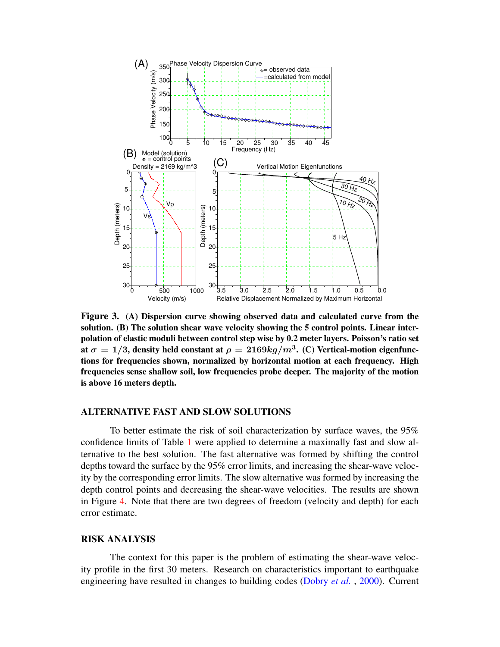<span id="page-5-0"></span>

Figure 3. (A) Dispersion curve showing observed data and calculated curve from the solution. (B) The solution shear wave velocity showing the 5 control points. Linear interpolation of elastic moduli between control step wise by 0.2 meter layers. Poisson's ratio set at  $\sigma=1/3,$  density held constant at  $\rho=2169 kg/m^3.$  (C) Vertical-motion eigenfunctions for frequencies shown, normalized by horizontal motion at each frequency. High frequencies sense shallow soil, low frequencies probe deeper. The majority of the motion is above 16 meters depth.

#### ALTERNATIVE FAST AND SLOW SOLUTIONS

To better estimate the risk of soil characterization by surface waves, the 95% confidence limits of Table [1](#page-4-0) were applied to determine a maximally fast and slow alternative to the best solution. The fast alternative was formed by shifting the control depths toward the surface by the 95% error limits, and increasing the shear-wave velocity by the corresponding error limits. The slow alternative was formed by increasing the depth control points and decreasing the shear-wave velocities. The results are shown in Figure [4.](#page-6-0) Note that there are two degrees of freedom (velocity and depth) for each error estimate.

#### RISK ANALYSIS

The context for this paper is the problem of estimating the shear-wave velocity profile in the first 30 meters. Research on characteristics important to earthquake engineering have resulted in changes to building codes [\(Dobry](#page-8-10) *et al.* , [2000\)](#page-8-10). Current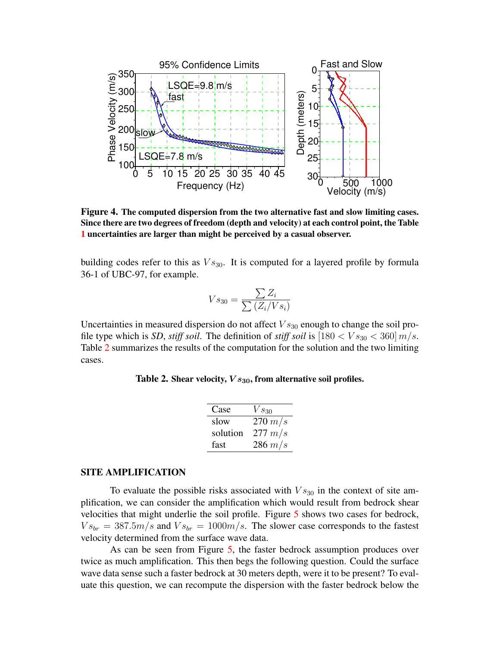<span id="page-6-0"></span>

Figure 4. The computed dispersion from the two alternative fast and slow limiting cases. Since there are two degrees of freedom (depth and velocity) at each control point, the Table [1](#page-4-0) uncertainties are larger than might be perceived by a casual observer.

building codes refer to this as  $Vs_{30}$ . It is computed for a layered profile by formula 36-1 of UBC-97, for example.

$$
Vs_{30} = \frac{\sum Z_i}{\sum (Z_i/Vs_i)}
$$

<span id="page-6-1"></span>Uncertainties in measured dispersion do not affect  $Vs_{30}$  enough to change the soil profile type which is *SD*, *stiff soil*. The definition of *stiff soil* is  $[180 < V s_{30} < 360]$  m/s. Table [2](#page-6-1) summarizes the results of the computation for the solution and the two limiting cases.

Table 2. Shear velocity,  $Vs_{30}$ , from alternative soil profiles.

| Case     | $Vs_{30}$   |
|----------|-------------|
| slow     | $270 \ m/s$ |
| solution | $277 \ m/s$ |
| fast     | $286 \ m/s$ |

# SITE AMPLIFICATION

To evaluate the possible risks associated with  $Vs_{30}$  in the context of site amplification, we can consider the amplification which would result from bedrock shear velocities that might underlie the soil profile. Figure [5](#page-7-0) shows two cases for bedrock,  $Vs_{br} = 387.5m/s$  and  $Vs_{br} = 1000m/s$ . The slower case corresponds to the fastest velocity determined from the surface wave data.

As can be seen from Figure [5,](#page-7-0) the faster bedrock assumption produces over twice as much amplification. This then begs the following question. Could the surface wave data sense such a faster bedrock at 30 meters depth, were it to be present? To evaluate this question, we can recompute the dispersion with the faster bedrock below the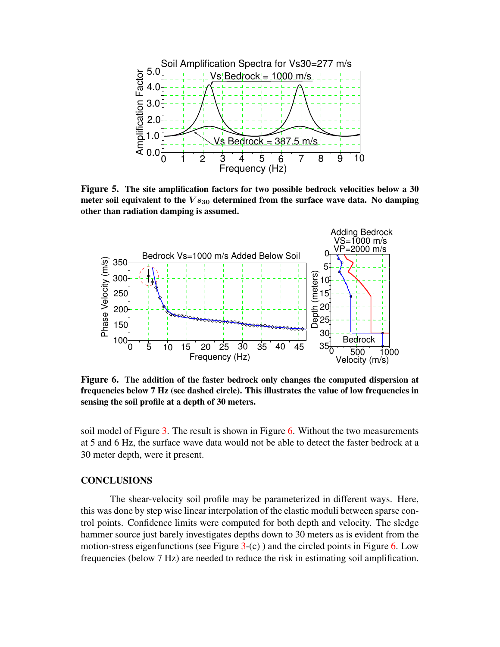<span id="page-7-0"></span>

Figure 5. The site amplification factors for two possible bedrock velocities below a 30 meter soil equivalent to the  $Vs_{30}$  determined from the surface wave data. No damping other than radiation damping is assumed.

<span id="page-7-1"></span>

Figure 6. The addition of the faster bedrock only changes the computed dispersion at frequencies below 7 Hz (see dashed circle). This illustrates the value of low frequencies in sensing the soil profile at a depth of 30 meters.

soil model of Figure [3.](#page-5-0) The result is shown in Figure [6.](#page-7-1) Without the two measurements at 5 and 6 Hz, the surface wave data would not be able to detect the faster bedrock at a 30 meter depth, were it present.

# **CONCLUSIONS**

The shear-velocity soil profile may be parameterized in different ways. Here, this was done by step wise linear interpolation of the elastic moduli between sparse control points. Confidence limits were computed for both depth and velocity. The sledge hammer source just barely investigates depths down to 30 meters as is evident from the motion-stress eigenfunctions (see Figure  $3-(c)$  $3-(c)$ ) and the circled points in Figure [6.](#page-7-1) Low frequencies (below 7 Hz) are needed to reduce the risk in estimating soil amplification.